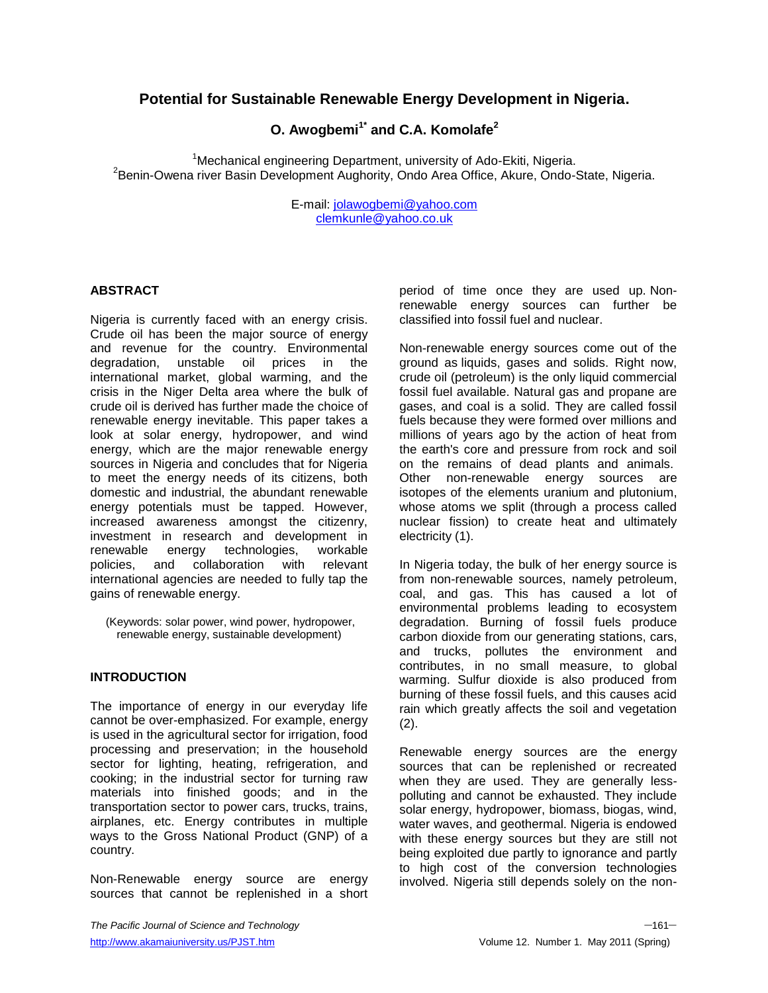# **Potential for Sustainable Renewable Energy Development in Nigeria.**

# **O. Awogbemi1\* and C.A. Komolafe<sup>2</sup>**

<sup>1</sup>Mechanical engineering Department, university of Ado-Ekiti, Nigeria. 2 Benin-Owena river Basin Development Aughority, Ondo Area Office, Akure, Ondo-State, Nigeria.

> E-mail: [jolawogbemi@yahoo.com](mailto:jolawogbemi@yahoo.com) [clemkunle@yahoo.co.uk](mailto:clemkunle@yahoo.co.uk)

## **ABSTRACT**

Nigeria is currently faced with an energy crisis. Crude oil has been the major source of energy and revenue for the country. Environmental degradation, unstable oil prices in the international market, global warming, and the crisis in the Niger Delta area where the bulk of crude oil is derived has further made the choice of renewable energy inevitable. This paper takes a look at solar energy, hydropower, and wind energy, which are the major renewable energy sources in Nigeria and concludes that for Nigeria to meet the energy needs of its citizens, both domestic and industrial, the abundant renewable energy potentials must be tapped. However, increased awareness amongst the citizenry, investment in research and development in renewable energy technologies, workable policies, and collaboration with relevant international agencies are needed to fully tap the gains of renewable energy.

(Keywords: solar power, wind power, hydropower, renewable energy, sustainable development)

## **INTRODUCTION**

The importance of energy in our everyday life cannot be over-emphasized. For example, energy is used in the agricultural sector for irrigation, food processing and preservation; in the household sector for lighting, heating, refrigeration, and cooking; in the industrial sector for turning raw materials into finished goods; and in the transportation sector to power cars, trucks, trains, airplanes, etc. Energy contributes in multiple ways to the Gross National Product (GNP) of a country.

Non-Renewable energy source are energy sources that cannot be replenished in a short period of time once they are used up. Nonrenewable energy sources can further be classified into fossil fuel and nuclear.

Non-renewable energy sources come out of the ground as liquids, gases and solids. Right now, crude oil (petroleum) is the only liquid commercial fossil fuel available. Natural gas and propane are gases, and coal is a solid. They are called fossil fuels because they were formed over millions and millions of years ago by the action of heat from the earth's core and pressure from rock and soil on the remains of dead plants and animals. Other non-renewable energy sources are isotopes of the elements uranium and plutonium, whose atoms we split (through a process called nuclear fission) to create heat and ultimately electricity (1).

In Nigeria today, the bulk of her energy source is from non-renewable sources, namely petroleum, coal, and gas. This has caused a lot of environmental problems leading to ecosystem degradation. Burning of fossil fuels produce carbon dioxide from our generating stations, cars, and trucks, pollutes the environment and contributes, in no small measure, to global warming. Sulfur dioxide is also produced from burning of these fossil fuels, and this causes acid rain which greatly affects the soil and vegetation  $(2).$ 

Renewable energy sources are the energy sources that can be replenished or recreated when they are used. They are generally lesspolluting and cannot be exhausted. They include solar energy, hydropower, biomass, biogas, wind, water waves, and geothermal. Nigeria is endowed with these energy sources but they are still not being exploited due partly to ignorance and partly to high cost of the conversion technologies involved. Nigeria still depends solely on the non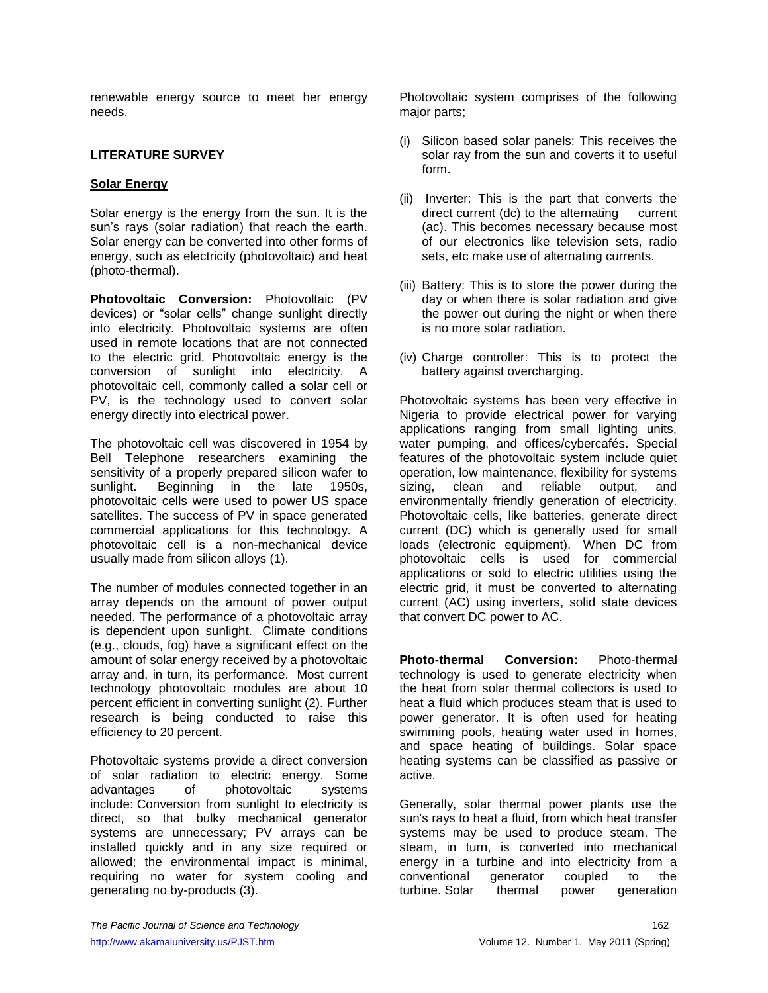renewable energy source to meet her energy needs.

## **LITERATURE SURVEY**

## **Solar Energy**

Solar energy is the energy from the sun. It is the sun's rays (solar radiation) that reach the earth. Solar energy can be converted into other forms of energy, such as electricity (photovoltaic) and heat (photo-thermal).

**Photovoltaic Conversion:** Photovoltaic (PV devices) or "solar cells" change sunlight directly into electricity. Photovoltaic systems are often used in remote locations that are not connected to the electric grid. Photovoltaic energy is the conversion of sunlight into electricity. A photovoltaic cell, commonly called a solar cell or PV, is the technology used to convert solar energy directly into electrical power.

The photovoltaic cell was discovered in 1954 by Bell Telephone researchers examining the sensitivity of a properly prepared silicon wafer to sunlight. Beginning in the late 1950s, photovoltaic cells were used to power US space satellites. The success of PV in space generated commercial applications for this technology. A photovoltaic cell is a non-mechanical device usually made from silicon alloys (1).

The number of modules connected together in an array depends on the amount of power output needed. The performance of a photovoltaic array is dependent upon sunlight. Climate conditions (e.g., clouds, fog) have a significant effect on the amount of solar energy received by a photovoltaic array and, in turn, its performance. Most current technology photovoltaic modules are about 10 percent efficient in converting sunlight (2). Further research is being conducted to raise this efficiency to 20 percent.

Photovoltaic systems provide a direct conversion of solar radiation to electric energy. Some advantages of photovoltaic systems include: Conversion from sunlight to electricity is direct, so that bulky mechanical generator systems are unnecessary; PV arrays can be installed quickly and in any size required or allowed; the environmental impact is minimal, requiring no water for system cooling and generating no by-products (3).

Photovoltaic system comprises of the following major parts;

- (i) Silicon based solar panels: This receives the solar ray from the sun and coverts it to useful form.
- (ii) Inverter: This is the part that converts the direct current (dc) to the alternating current (ac). This becomes necessary because most of our electronics like television sets, radio sets, etc make use of alternating currents.
- (iii) Battery: This is to store the power during the day or when there is solar radiation and give the power out during the night or when there is no more solar radiation.
- (iv) Charge controller: This is to protect the battery against overcharging.

Photovoltaic systems has been very effective in Nigeria to provide electrical power for varying applications ranging from small lighting units, water pumping, and offices/cybercafés. Special features of the photovoltaic system include quiet operation, low maintenance, flexibility for systems sizing, clean and reliable output, and environmentally friendly generation of electricity. Photovoltaic cells, like batteries, generate direct current (DC) which is generally used for small loads (electronic equipment). When DC from photovoltaic cells is used for commercial applications or sold to electric utilities using the electric grid, it must be converted to alternating current (AC) using inverters, solid state devices that convert DC power to AC.

**Photo-thermal Conversion:** Photo-thermal technology is used to generate electricity when the heat from solar thermal collectors is used to heat a fluid which produces steam that is used to power generator. It is often used for heating swimming pools, heating water used in homes, and space heating of buildings. Solar space heating systems can be classified as passive or active.

Generally, solar thermal power plants use the sun's rays to heat a fluid, from which heat transfer systems may be used to produce steam. The steam, in turn, is converted into mechanical energy in a turbine and into electricity from a conventional generator coupled to the turbine. Solar thermal power generation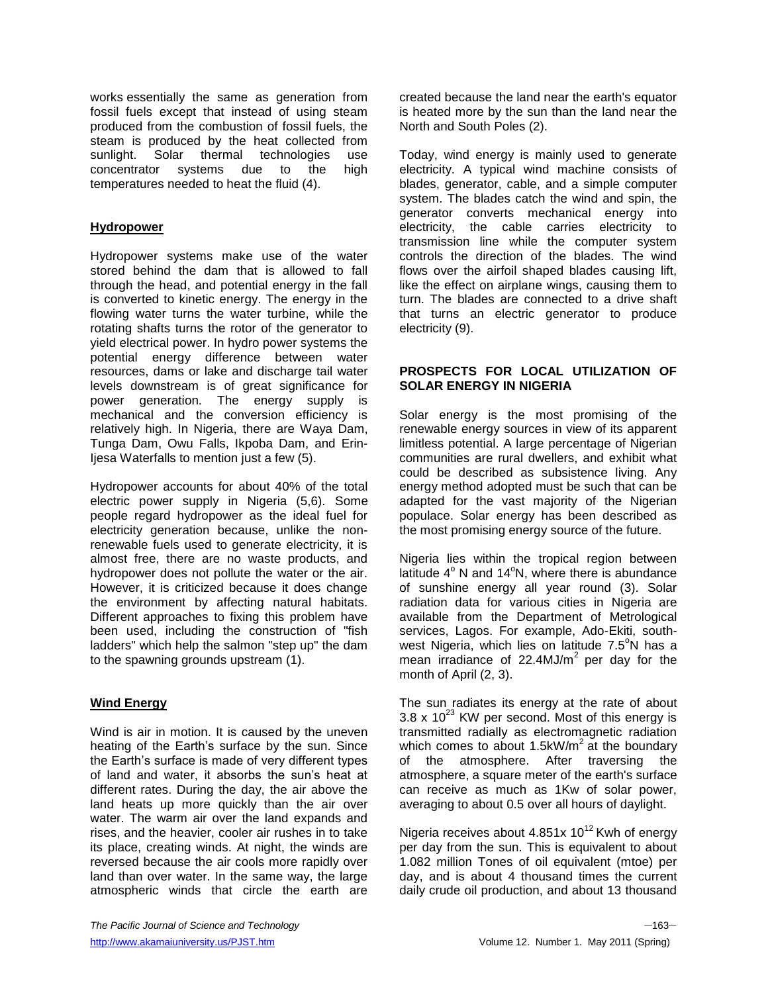works essentially the same as generation from fossil fuels except that instead of using steam produced from the combustion of fossil fuels, the steam is produced by the heat collected from sunlight. Solar thermal technologies use concentrator systems due to the high temperatures needed to heat the fluid (4).

## **Hydropower**

Hydropower systems make use of the water stored behind the dam that is allowed to fall through the head, and potential energy in the fall is converted to kinetic energy. The energy in the flowing water turns the water turbine, while the rotating shafts turns the rotor of the generator to yield electrical power. In hydro power systems the potential energy difference between water resources, dams or lake and discharge tail water levels downstream is of great significance for power generation. The energy supply is mechanical and the conversion efficiency is relatively high. In Nigeria, there are Waya Dam, Tunga Dam, Owu Falls, Ikpoba Dam, and Erin-Ijesa Waterfalls to mention just a few (5).

Hydropower accounts for about 40% of the total electric power supply in Nigeria (5,6). Some people regard hydropower as the ideal fuel for electricity generation because, unlike the nonrenewable fuels used to generate electricity, it is almost free, there are no waste products, and hydropower does not pollute the water or the air. However, it is criticized because it does change the environment by affecting natural habitats. Different approaches to fixing this problem have been used, including the construction of "fish ladders" which help the salmon "step up" the dam to the spawning grounds upstream (1).

## **Wind Energy**

Wind is air in motion. It is caused by the uneven heating of the Earth's surface by the sun. Since the Earth's surface is made of very different types of land and water, it absorbs the sun's heat at different rates. During the day, the air above the land heats up more quickly than the air over water. The warm air over the land expands and rises, and the heavier, cooler air rushes in to take its place, creating winds. At night, the winds are reversed because the air cools more rapidly over land than over water. In the same way, the large atmospheric winds that circle the earth are

created because the land near the earth's equator is heated more by the sun than the land near the North and South Poles (2).

Today, wind energy is mainly used to generate electricity. A typical wind machine consists of blades, generator, cable, and a simple computer system. The blades catch the wind and spin, the generator converts mechanical energy into electricity, the cable carries electricity to transmission line while the computer system controls the direction of the blades. The wind flows over the airfoil shaped blades causing lift, like the effect on airplane wings, causing them to turn. The blades are connected to a drive shaft that turns an electric generator to produce electricity (9).

#### **PROSPECTS FOR LOCAL UTILIZATION OF SOLAR ENERGY IN NIGERIA**

Solar energy is the most promising of the renewable energy sources in view of its apparent limitless potential. A large percentage of Nigerian communities are rural dwellers, and exhibit what could be described as subsistence living. Any energy method adopted must be such that can be adapted for the vast majority of the Nigerian populace. Solar energy has been described as the most promising energy source of the future.

Nigeria lies within the tropical region between latitude  $4^\circ$  N and  $14^\circ$ N, where there is abundance of sunshine energy all year round (3). Solar radiation data for various cities in Nigeria are available from the Department of Metrological services, Lagos. For example, Ado-Ekiti, southwest Nigeria, which lies on latitude  $7.5^{\circ}$ N has a mean irradiance of 22.4MJ/ $m^2$  per day for the month of April (2, 3).

The sun radiates its energy at the rate of about  $3.8 \times 10^{23}$  KW per second. Most of this energy is transmitted radially as electromagnetic radiation which comes to about 1.5kW/ $m^2$  at the boundary of the atmosphere. After traversing the atmosphere, a square meter of the earth's surface can receive as much as 1Kw of solar power, averaging to about 0.5 over all hours of daylight.

Nigeria receives about 4.851x  $10^{12}$  Kwh of energy per day from the sun. This is equivalent to about 1.082 million Tones of oil equivalent (mtoe) per day, and is about 4 thousand times the current daily crude oil production, and about 13 thousand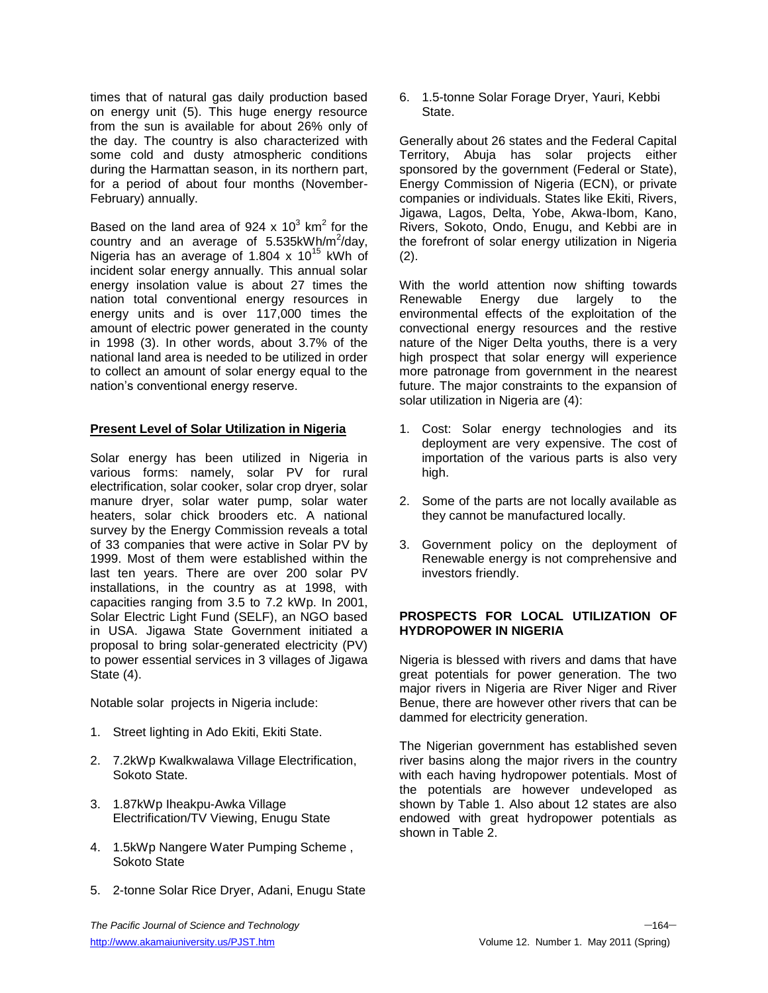times that of natural gas daily production based on energy unit (5). This huge energy resource from the sun is available for about 26% only of the day. The country is also characterized with some cold and dusty atmospheric conditions during the Harmattan season, in its northern part, for a period of about four months (November-February) annually.

Based on the land area of 924 x 10<sup>3</sup> km<sup>2</sup> for the country and an average of  $5.535kWh/m^2/day$ , Nigeria has an average of 1.804 x  $10^{15}$  kWh of incident solar energy annually. This annual solar energy insolation value is about 27 times the nation total conventional energy resources in energy units and is over 117,000 times the amount of electric power generated in the county in 1998 (3). In other words, about 3.7% of the national land area is needed to be utilized in order to collect an amount of solar energy equal to the nation's conventional energy reserve.

#### **Present Level of Solar Utilization in Nigeria**

Solar energy has been utilized in Nigeria in various forms: namely, solar PV for rural electrification, solar cooker, solar crop dryer, solar manure dryer, solar water pump, solar water heaters, solar chick brooders etc. A national survey by the Energy Commission reveals a total of 33 companies that were active in Solar PV by 1999. Most of them were established within the last ten years. There are over 200 solar PV installations, in the country as at 1998, with capacities ranging from 3.5 to 7.2 kWp. In 2001, Solar Electric Light Fund (SELF), an NGO based in USA. Jigawa State Government initiated a proposal to bring solar-generated electricity (PV) to power essential services in 3 villages of Jigawa State (4).

Notable solar projects in Nigeria include:

- 1. Street lighting in Ado Ekiti, Ekiti State.
- 2. 7.2kWp Kwalkwalawa Village Electrification, Sokoto State.
- 3. 1.87kWp Iheakpu-Awka Village Electrification/TV Viewing, Enugu State
- 4. 1.5kWp Nangere Water Pumping Scheme , Sokoto State
- 5. 2-tonne Solar Rice Dryer, Adani, Enugu State

6. 1.5-tonne Solar Forage Dryer, Yauri, Kebbi State.

Generally about 26 states and the Federal Capital Territory, Abuja has solar projects either sponsored by the government (Federal or State), Energy Commission of Nigeria (ECN), or private companies or individuals. States like Ekiti, Rivers, Jigawa, Lagos, Delta, Yobe, Akwa-Ibom, Kano, Rivers, Sokoto, Ondo, Enugu, and Kebbi are in the forefront of solar energy utilization in Nigeria (2).

With the world attention now shifting towards Renewable Energy due largely to the environmental effects of the exploitation of the convectional energy resources and the restive nature of the Niger Delta youths, there is a very high prospect that solar energy will experience more patronage from government in the nearest future. The major constraints to the expansion of solar utilization in Nigeria are (4):

- 1. Cost: Solar energy technologies and its deployment are very expensive. The cost of importation of the various parts is also very high.
- 2. Some of the parts are not locally available as they cannot be manufactured locally.
- 3. Government policy on the deployment of Renewable energy is not comprehensive and investors friendly.

# **PROSPECTS FOR LOCAL UTILIZATION OF HYDROPOWER IN NIGERIA**

Nigeria is blessed with rivers and dams that have great potentials for power generation. The two major rivers in Nigeria are River Niger and River Benue, there are however other rivers that can be dammed for electricity generation.

The Nigerian government has established seven river basins along the major rivers in the country with each having hydropower potentials. Most of the potentials are however undeveloped as shown by Table 1. Also about 12 states are also endowed with great hydropower potentials as shown in Table 2.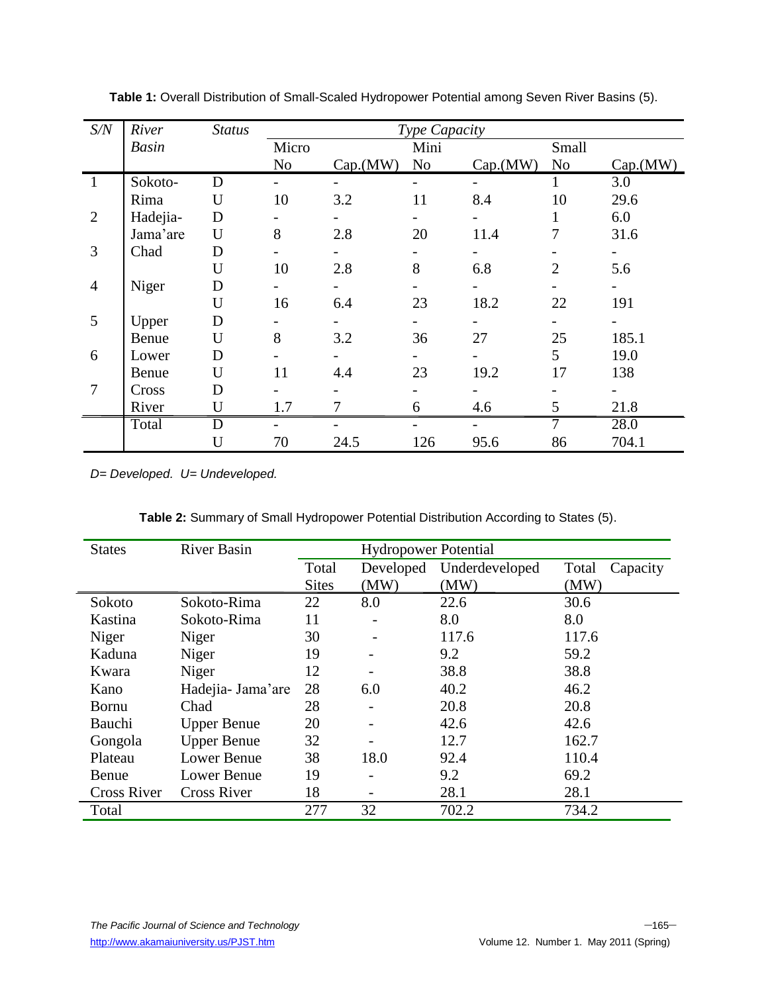| S/N            | River        | <b>Status</b> | Type Capacity |          |                |                          |                |          |
|----------------|--------------|---------------|---------------|----------|----------------|--------------------------|----------------|----------|
|                | <b>Basin</b> |               | Micro         |          | Mini           |                          | Small          |          |
|                |              |               | No            | Cap.(MW) | N <sub>o</sub> | Cap.(MW)                 | N <sub>o</sub> | Cap.(MW) |
|                | Sokoto-      | D             |               |          |                | $\overline{\phantom{0}}$ |                | 3.0      |
|                | Rima         | U             | 10            | 3.2      | 11             | 8.4                      | 10             | 29.6     |
| $\overline{2}$ | Hadejia-     | D             |               |          |                |                          |                | 6.0      |
|                | Jama'are     | U             | 8             | 2.8      | 20             | 11.4                     | 7              | 31.6     |
| 3              | Chad         | D             |               |          |                |                          |                |          |
|                |              | U             | 10            | 2.8      | 8              | 6.8                      | $\overline{2}$ | 5.6      |
| $\overline{4}$ | Niger        | D             |               |          |                |                          |                |          |
|                |              | U             | 16            | 6.4      | 23             | 18.2                     | 22             | 191      |
| 5              | Upper        | D             |               |          |                |                          |                |          |
|                | Benue        | U             | 8             | 3.2      | 36             | 27                       | 25             | 185.1    |
| 6              | Lower        | D             |               |          |                |                          | 5              | 19.0     |
|                | Benue        | U             | 11            | 4.4      | 23             | 19.2                     | 17             | 138      |
| 7              | Cross        | D             |               |          |                |                          |                |          |
|                | River        | U             | 1.7           | 7        | 6              | 4.6                      | 5              | 21.8     |
|                | Total        | D             |               |          |                |                          | 7              | 28.0     |
|                |              | U             | 70            | 24.5     | 126            | 95.6                     | 86             | 704.1    |

**Table 1:** Overall Distribution of Small-Scaled Hydropower Potential among Seven River Basins (5).

*D= Developed. U= Undeveloped.* 

|  | Table 2: Summary of Small Hydropower Potential Distribution According to States (5). |  |  |
|--|--------------------------------------------------------------------------------------|--|--|
|  |                                                                                      |  |  |

| <b>States</b>      | <b>River Basin</b> |              | <b>Hydropower Potential</b> |                |                   |
|--------------------|--------------------|--------------|-----------------------------|----------------|-------------------|
|                    |                    | Total        | Developed                   | Underdeveloped | Total<br>Capacity |
|                    |                    | <b>Sites</b> | (MW)                        | (MW)           | (MW)              |
| Sokoto             | Sokoto-Rima        | 22           | 8.0                         | 22.6           | 30.6              |
| Kastina            | Sokoto-Rima        | 11           |                             | 8.0            | 8.0               |
| Niger              | Niger              | 30           |                             | 117.6          | 117.6             |
| Kaduna             | Niger              | 19           |                             | 9.2            | 59.2              |
| Kwara              | Niger              | 12           |                             | 38.8           | 38.8              |
| Kano               | Hadejia- Jama'are  | 28           | 6.0                         | 40.2           | 46.2              |
| <b>Bornu</b>       | Chad               | 28           |                             | 20.8           | 20.8              |
| Bauchi             | <b>Upper Benue</b> | 20           |                             | 42.6           | 42.6              |
| Gongola            | <b>Upper Benue</b> | 32           |                             | 12.7           | 162.7             |
| Plateau            | <b>Lower Benue</b> | 38           | 18.0                        | 92.4           | 110.4             |
| Benue              | Lower Benue        | 19           |                             | 9.2            | 69.2              |
| <b>Cross River</b> | <b>Cross River</b> | 18           |                             | 28.1           | 28.1              |
| Total              |                    | 277          | 32                          | 702.2          | 734.2             |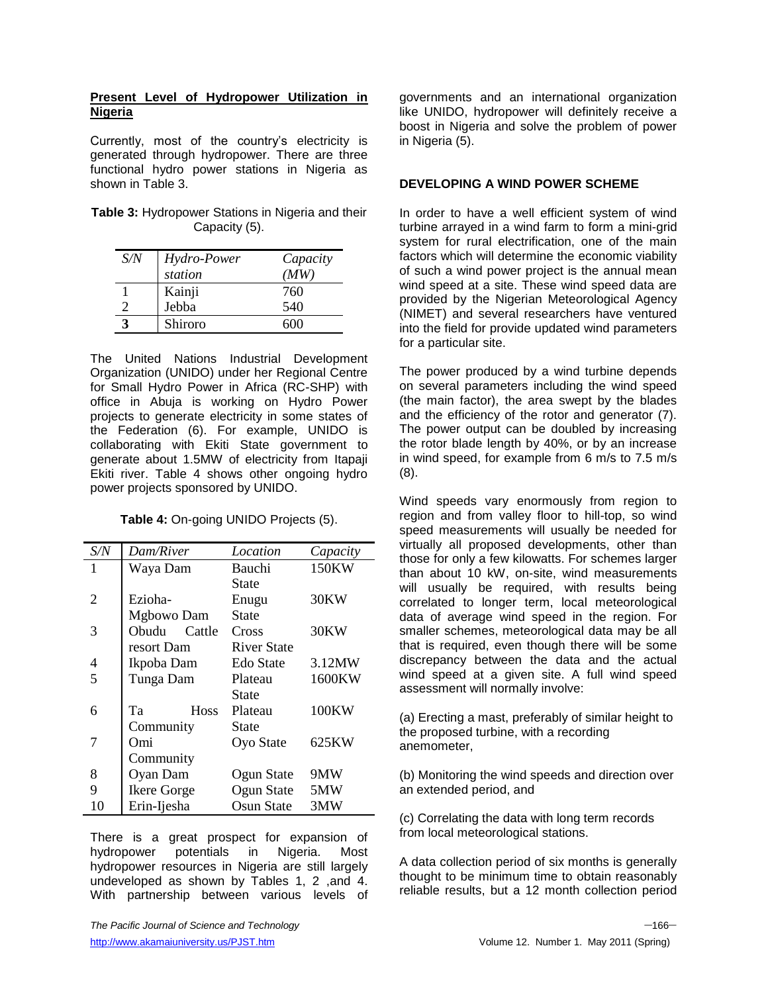### **Present Level of Hydropower Utilization in Nigeria**

Currently, most of the country's electricity is generated through hydropower. There are three functional hydro power stations in Nigeria as shown in Table 3.

| <b>Table 3: Hydropower Stations in Nigeria and their</b> |  |
|----------------------------------------------------------|--|
| Capacity (5).                                            |  |

| S/N | Hydro-Power | Capacity |
|-----|-------------|----------|
|     | station     | (MW)     |
|     | Kainji      | 760      |
|     | Jebba       | 540      |
|     | Shiroro     | 600      |

The United Nations Industrial Development Organization (UNIDO) under her Regional Centre for Small Hydro Power in Africa (RC-SHP) with office in Abuja is working on Hydro Power projects to generate electricity in some states of the Federation (6). For example, UNIDO is collaborating with Ekiti State government to generate about 1.5MW of electricity from Itapaji Ekiti river. Table 4 shows other ongoing hydro power projects sponsored by UNIDO.

**Table 4:** On-going UNIDO Projects (5).

| S/N | Dam/River          | Location    | Capacity |
|-----|--------------------|-------------|----------|
| 1   | Waya Dam           | Bauchi      | 150KW    |
|     |                    | State       |          |
| 2   | Ezioha-            | Enugu       | 30KW     |
|     | Mgbowo Dam         | State       |          |
| 3   | Obudu<br>Cattle    | Cross       | 30KW     |
|     | resort Dam         | River State |          |
| 4   | Ikpoba Dam         | Edo State   | 3.12MW   |
| 5   | Tunga Dam          | Plateau     | 1600KW   |
|     |                    | State       |          |
| 6   | <b>Hoss</b><br>Та  | Plateau     | 100KW    |
|     | Community          | State       |          |
| 7   | Omi                | Oyo State   | 625KW    |
|     | Community          |             |          |
| 8   | Oyan Dam           | Ogun State  | 9MW      |
| 9   | <b>Ikere Gorge</b> | Ogun State  | 5MW      |
| 10  | Erin-Ijesha        | Osun State  | 3MW      |

There is a great prospect for expansion of hydropower potentials in Nigeria. Most hydropower resources in Nigeria are still largely undeveloped as shown by Tables 1, 2 ,and 4. With partnership between various levels of governments and an international organization like UNIDO, hydropower will definitely receive a boost in Nigeria and solve the problem of power in Nigeria (5).

## **DEVELOPING A WIND POWER SCHEME**

In order to have a well efficient system of wind turbine arrayed in a wind farm to form a mini-grid system for rural electrification, one of the main factors which will determine the economic viability of such a wind power project is the annual mean wind speed at a site. These wind speed data are provided by the Nigerian Meteorological Agency (NIMET) and several researchers have ventured into the field for provide updated wind parameters for a particular site.

The power produced by a wind turbine depends on several parameters including the wind speed (the main factor), the area swept by the blades and the efficiency of the rotor and generator (7). The power output can be doubled by increasing the rotor blade length by 40%, or by an increase in wind speed, for example from 6 m/s to 7.5 m/s (8).

Wind speeds vary enormously from region to region and from valley floor to hill-top, so wind speed measurements will usually be needed for virtually all proposed developments, other than those for only a few kilowatts. For schemes larger than about 10 kW, on-site, wind measurements will usually be required, with results being correlated to longer term, local meteorological data of average wind speed in the region. For smaller schemes, meteorological data may be all that is required, even though there will be some discrepancy between the data and the actual wind speed at a given site. A full wind speed assessment will normally involve:

(a) Erecting a mast, preferably of similar height to the proposed turbine, with a recording anemometer,

(b) Monitoring the wind speeds and direction over an extended period, and

(c) Correlating the data with long term records from local meteorological stations.

A data collection period of six months is generally thought to be minimum time to obtain reasonably reliable results, but a 12 month collection period

*The Pacific Journal of Science and Technology* –166–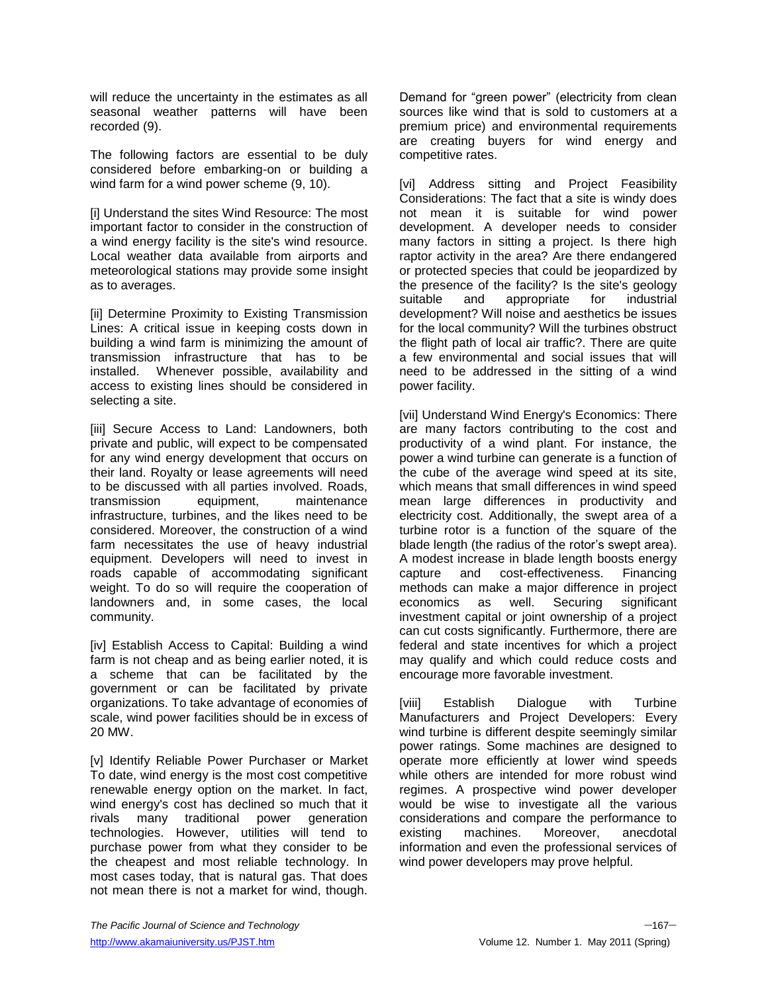will reduce the uncertainty in the estimates as all seasonal weather patterns will have been recorded (9).

The following factors are essential to be duly considered before embarking-on or building a wind farm for a wind power scheme (9, 10).

[i] Understand the sites Wind Resource: The most important factor to consider in the construction of a wind energy facility is the site's wind resource. Local weather data available from airports and meteorological stations may provide some insight as to averages.

[ii] Determine Proximity to Existing Transmission Lines: A critical issue in keeping costs down in building a wind farm is minimizing the amount of transmission infrastructure that has to be installed. Whenever possible, availability and access to existing lines should be considered in selecting a site.

[iii] Secure Access to Land: Landowners, both private and public, will expect to be compensated for any wind energy development that occurs on their land. Royalty or lease agreements will need to be discussed with all parties involved. Roads, transmission equipment, maintenance infrastructure, turbines, and the likes need to be considered. Moreover, the construction of a wind farm necessitates the use of heavy industrial equipment. Developers will need to invest in roads capable of accommodating significant weight. To do so will require the cooperation of landowners and, in some cases, the local community.

[iv] Establish Access to Capital: Building a wind farm is not cheap and as being earlier noted, it is a scheme that can be facilitated by the government or can be facilitated by private organizations. To take advantage of economies of scale, wind power facilities should be in excess of 20 MW.

[v] Identify Reliable Power Purchaser or Market To date, wind energy is the most cost competitive renewable energy option on the market. In fact, wind energy's cost has declined so much that it rivals many traditional power generation technologies. However, utilities will tend to purchase power from what they consider to be the cheapest and most reliable technology. In most cases today, that is natural gas. That does not mean there is not a market for wind, though.

Demand for "green power" (electricity from clean sources like wind that is sold to customers at a premium price) and environmental requirements are creating buyers for wind energy and competitive rates.

[vi] Address sitting and Project Feasibility Considerations: The fact that a site is windy does not mean it is suitable for wind power development. A developer needs to consider many factors in sitting a project. Is there high raptor activity in the area? Are there endangered or protected species that could be jeopardized by the presence of the facility? Is the site's geology suitable and appropriate for industrial development? Will noise and aesthetics be issues for the local community? Will the turbines obstruct the flight path of local air traffic?. There are quite a few environmental and social issues that will need to be addressed in the sitting of a wind power facility.

[vii] Understand Wind Energy's Economics: There are many factors contributing to the cost and productivity of a wind plant. For instance, the power a wind turbine can generate is a function of the cube of the average wind speed at its site, which means that small differences in wind speed mean large differences in productivity and electricity cost. Additionally, the swept area of a turbine rotor is a function of the square of the blade length (the radius of the rotor's swept area). A modest increase in blade length boosts energy capture and cost-effectiveness. Financing methods can make a major difference in project economics as well. Securing significant investment capital or joint ownership of a project can cut costs significantly. Furthermore, there are federal and state incentives for which a project may qualify and which could reduce costs and encourage more favorable investment.

[viii] Establish Dialogue with Turbine Manufacturers and Project Developers: Every wind turbine is different despite seemingly similar power ratings. Some machines are designed to operate more efficiently at lower wind speeds while others are intended for more robust wind regimes. A prospective wind power developer would be wise to investigate all the various considerations and compare the performance to existing machines. Moreover, anecdotal information and even the professional services of wind power developers may prove helpful.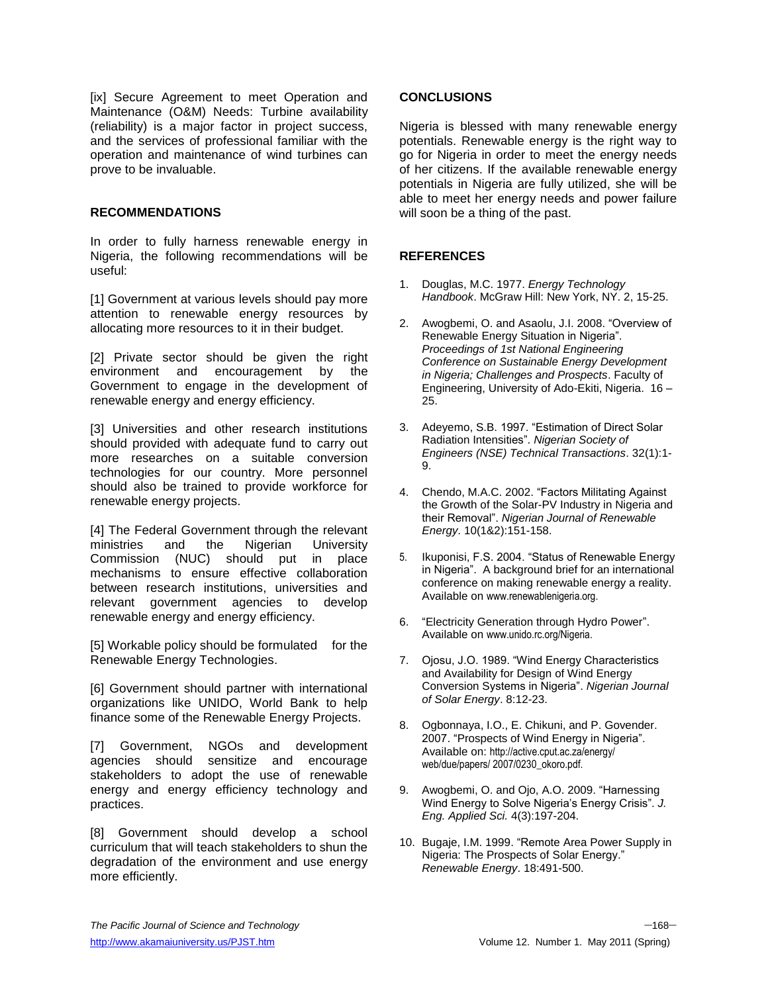[ix] Secure Agreement to meet Operation and Maintenance (O&M) Needs: Turbine availability (reliability) is a major factor in project success, and the services of professional familiar with the operation and maintenance of wind turbines can prove to be invaluable.

#### **RECOMMENDATIONS**

In order to fully harness renewable energy in Nigeria, the following recommendations will be useful:

[1] Government at various levels should pay more attention to renewable energy resources by allocating more resources to it in their budget.

[2] Private sector should be given the right environment and encouragement by the Government to engage in the development of renewable energy and energy efficiency.

[3] Universities and other research institutions should provided with adequate fund to carry out more researches on a suitable conversion technologies for our country. More personnel should also be trained to provide workforce for renewable energy projects.

[4] The Federal Government through the relevant ministries and the Nigerian University Commission (NUC) should put in place mechanisms to ensure effective collaboration between research institutions, universities and relevant government agencies to develop renewable energy and energy efficiency.

[5] Workable policy should be formulated for the Renewable Energy Technologies.

[6] Government should partner with international organizations like UNIDO, World Bank to help finance some of the Renewable Energy Projects.

[7] Government, NGOs and development agencies should sensitize and encourage stakeholders to adopt the use of renewable energy and energy efficiency technology and practices.

[8] Government should develop a school curriculum that will teach stakeholders to shun the degradation of the environment and use energy more efficiently.

### **CONCLUSIONS**

Nigeria is blessed with many renewable energy potentials. Renewable energy is the right way to go for Nigeria in order to meet the energy needs of her citizens. If the available renewable energy potentials in Nigeria are fully utilized, she will be able to meet her energy needs and power failure will soon be a thing of the past.

## **REFERENCES**

- 1. Douglas, M.C. 1977. *Energy Technology Handbook*. McGraw Hill: New York, NY. 2, 15-25.
- 2. Awogbemi, O. and Asaolu, J.I. 2008. "Overview of Renewable Energy Situation in Nigeria". *Proceedings of 1st National Engineering Conference on Sustainable Energy Development in Nigeria; Challenges and Prospects*. Faculty of Engineering, University of Ado-Ekiti, Nigeria. 16 – 25.
- 3. Adeyemo, S.B. 1997. "Estimation of Direct Solar Radiation Intensities". *Nigerian Society of Engineers (NSE) Technical Transactions*. 32(1):1- 9.
- 4. Chendo, M.A.C. 2002. "Factors Militating Against the Growth of the Solar-PV Industry in Nigeria and their Removal". *Nigerian Journal of Renewable Energy*. 10(1&2):151-158.
- 5. Ikuponisi, F.S. 2004. "Status of Renewable Energy in Nigeria". A background brief for an international conference on making renewable energy a reality. Available on [www.renewablenigeria.org.](http://www.renewablenigeria.org/)
- 6. "Electricity Generation through Hydro Power". Available on www.unido.rc.org/Nigeria.
- 7. Ojosu, J.O. 1989. "Wind Energy Characteristics and Availability for Design of Wind Energy Conversion Systems in Nigeria". *Nigerian Journal of Solar Energy*. 8:12-23.
- 8. Ogbonnaya, I.O., E. Chikuni, and P. Govender. 2007. "Prospects of Wind Energy in Nigeria". Available on: http://active.cput.ac.za/energy/ web/due/papers/ 2007/0230\_okoro.pdf.
- 9. Awogbemi, O. and Ojo, A.O. 2009. "Harnessing Wind Energy to Solve Nigeria's Energy Crisis". *J. Eng. Applied Sci.* 4(3):197-204.
- 10. Bugaje, I.M. 1999. "Remote Area Power Supply in Nigeria: The Prospects of Solar Energy." *Renewable Energy*. 18:491-500.